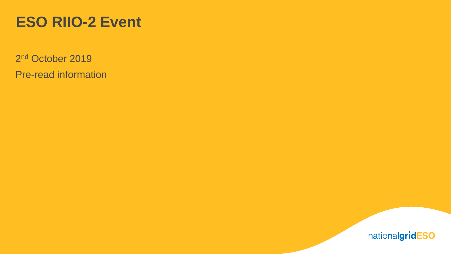# **ESO RIIO-2 Event**

2<sup>nd</sup> October 2019 Pre-read information

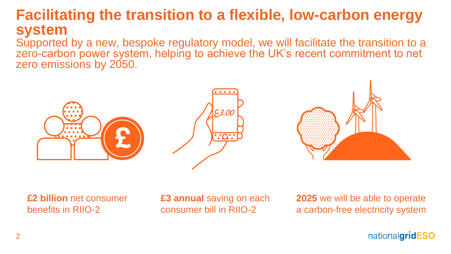## **Facilitating the transition to a flexible, low-carbon energy system**

Supported by a new, bespoke regulatory model, we will facilitate the transition to a zero-carbon power system, helping to achieve the UK's recent commitment to net zero emissions by 2050.





**£2 billion** net consumer benefits in RIIO-2

**£3 annual** saving on each consumer bill in RIIO-2

**2025** we will be able to operate a carbon-free electricity system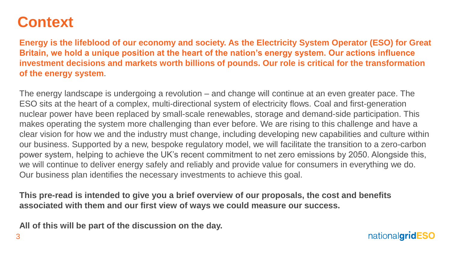# **Context**

**Energy is the lifeblood of our economy and society. As the Electricity System Operator (ESO) for Great Britain, we hold a unique position at the heart of the nation's energy system. Our actions influence investment decisions and markets worth billions of pounds. Our role is critical for the transformation of the energy system**.

The energy landscape is undergoing a revolution – and change will continue at an even greater pace. The ESO sits at the heart of a complex, multi-directional system of electricity flows. Coal and first-generation nuclear power have been replaced by small-scale renewables, storage and demand-side participation. This makes operating the system more challenging than ever before. We are rising to this challenge and have a clear vision for how we and the industry must change, including developing new capabilities and culture within our business. Supported by a new, bespoke regulatory model, we will facilitate the transition to a zero-carbon power system, helping to achieve the UK's recent commitment to net zero emissions by 2050. Alongside this, we will continue to deliver energy safely and reliably and provide value for consumers in everything we do. Our business plan identifies the necessary investments to achieve this goal.

**This pre-read is intended to give you a brief overview of our proposals, the cost and benefits associated with them and our first view of ways we could measure our success.**

**All of this will be part of the discussion on the day.**

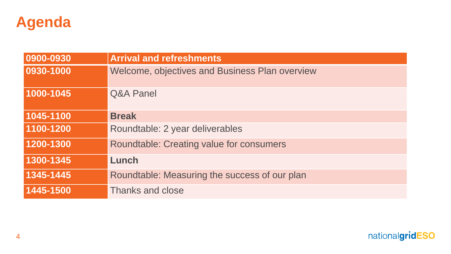

| 0900-0930 | <b>Arrival and refreshments</b>                 |
|-----------|-------------------------------------------------|
| 0930-1000 | Welcome, objectives and Business Plan overview  |
| 1000-1045 | <b>Q&amp;A Panel</b>                            |
| 1045-1100 | <b>Break</b>                                    |
| 1100-1200 | Roundtable: 2 year deliverables                 |
| 1200-1300 | <b>Roundtable: Creating value for consumers</b> |
| 1300-1345 | Lunch                                           |
| 1345-1445 | Roundtable: Measuring the success of our plan   |
| 1445-1500 | <b>Thanks and close</b>                         |

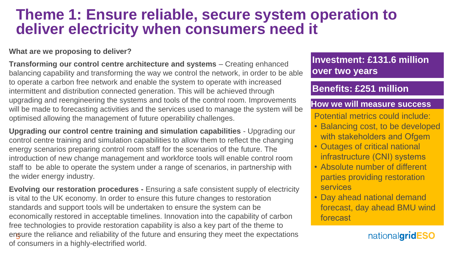## **Theme 1: Ensure reliable, secure system operation to deliver electricity when consumers need it**

#### **What are we proposing to deliver?**

**Transforming our control centre architecture and systems** – Creating enhanced balancing capability and transforming the way we control the network, in order to be able to operate a carbon free network and enable the system to operate with increased intermittent and distribution connected generation. This will be achieved through upgrading and reengineering the systems and tools of the control room. Improvements will be made to forecasting activities and the services used to manage the system will be optimised allowing the management of future operability challenges.

**Upgrading our control centre training and simulation capabilities** - Upgrading our control centre training and simulation capabilities to allow them to reflect the changing energy scenarios preparing control room staff for the scenarios of the future. The introduction of new change management and workforce tools will enable control room staff to be able to operate the system under a range of scenarios, in partnership with the wider energy industry.

ensure the reliance and reliability of the future and ensuring they meet the expectations **Evolving our restoration procedures -** Ensuring a safe consistent supply of electricity is vital to the UK economy. In order to ensure this future changes to restoration standards and support tools will be undertaken to ensure the system can be economically restored in acceptable timelines. Innovation into the capability of carbon free technologies to provide restoration capability is also a key part of the theme to of consumers in a highly-electrified world.

### **Investment: £131.6 million over two years**

### **Benefits: £251 million**

#### **How we will measure success**

Potential metrics could include:

- Balancing cost, to be developed with stakeholders and Ofgem
- Outages of critical national infrastructure (CNI) systems
- Absolute number of different parties providing restoration services
- Day ahead national demand forecast, day ahead BMU wind forecast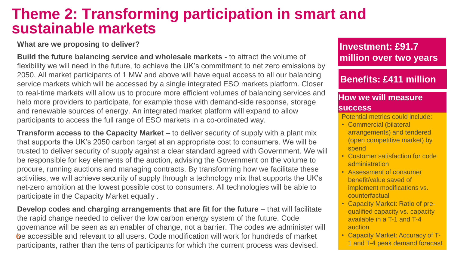## **Theme 2: Transforming participation in smart and sustainable markets**

#### **What are we proposing to deliver?**

**Build the future balancing service and wholesale markets -** to attract the volume of flexibility we will need in the future, to achieve the UK's commitment to net zero emissions by 2050. All market participants of 1 MW and above will have equal access to all our balancing service markets which will be accessed by a single integrated ESO markets platform. Closer to real-time markets will allow us to procure more efficient volumes of balancing services and help more providers to participate, for example those with demand-side response, storage and renewable sources of energy. An integrated market platform will expand to allow participants to access the full range of ESO markets in a co-ordinated way.

**Transform access to the Capacity Market** – to deliver security of supply with a plant mix that supports the UK's 2050 carbon target at an appropriate cost to consumers. We will be trusted to deliver security of supply against a clear standard agreed with Government. We will be responsible for key elements of the auction, advising the Government on the volume to procure, running auctions and managing contracts. By transforming how we facilitate these activities, we will achieve security of supply through a technology mix that supports the UK's net-zero ambition at the lowest possible cost to consumers. All technologies will be able to participate in the Capacity Market equally .

6 be accessible and relevant to all users. Code modification will work for hundreds of market **Develop codes and charging arrangements that are fit for the future** – that will facilitate the rapid change needed to deliver the low carbon energy system of the future. Code governance will be seen as an enabler of change, not a barrier. The codes we administer will participants, rather than the tens of participants for which the current process was devised.

### **Investment: £91.7 million over two years**

### **Benefits: £411 million**

#### **How we will measure success**

Potential metrics could include:

- Commercial (bilateral arrangements) and tendered (open competitive market) by spend
- Customer satisfaction for code administration
- Assessment of consumer benefit/value saved of implement modifications vs. counterfactual
- Capacity Market: Ratio of prequalified capacity vs. capacity available in a T-1 and T-4 auction
- Capacity Market: Accuracy of T-1 and T-4 peak demand forecast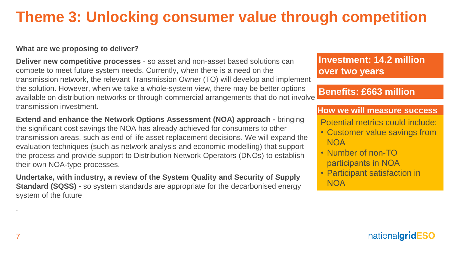# **Theme 3: Unlocking consumer value through competition**

#### **What are we proposing to deliver?**

**Deliver new competitive processes** - so asset and non-asset based solutions can compete to meet future system needs. Currently, when there is a need on the transmission network, the relevant Transmission Owner (TO) will develop and implement the solution. However, when we take a whole-system view, there may be better options available on distribution networks or through commercial arrangements that do not involve transmission investment.

**Extend and enhance the Network Options Assessment (NOA) approach -** bringing the significant cost savings the NOA has already achieved for consumers to other transmission areas, such as end of life asset replacement decisions. We will expand the evaluation techniques (such as network analysis and economic modelling) that support the process and provide support to Distribution Network Operators (DNOs) to establish their own NOA-type processes.

**Undertake, with industry, a review of the System Quality and Security of Supply Standard (SQSS) -** so system standards are appropriate for the decarbonised energy system of the future

#### **Investment: 14.2 million over two years**

#### **Benefits: £663 million**

#### **How we will measure success**

Potential metrics could include:

- Customer value savings from NOA
- Number of non-TO participants in NOA
- Participant satisfaction in **NOA**

.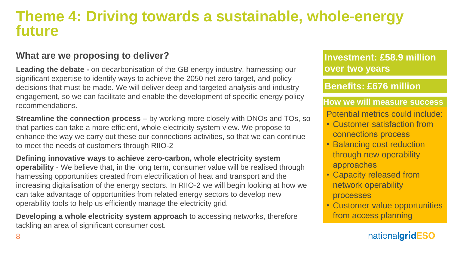## **Theme 4: Driving towards a sustainable, whole-energy future**

#### **What are we proposing to deliver?**

**Leading the debate -** on decarbonisation of the GB energy industry, harnessing our significant expertise to identify ways to achieve the 2050 net zero target, and policy decisions that must be made. We will deliver deep and targeted analysis and industry engagement, so we can facilitate and enable the development of specific energy policy recommendations.

**Streamline the connection process** – by working more closely with DNOs and TOs, so that parties can take a more efficient, whole electricity system view. We propose to enhance the way we carry out these our connections activities, so that we can continue to meet the needs of customers through RIIO-2

**Defining innovative ways to achieve zero-carbon, whole electricity system operability** - We believe that, in the long term, consumer value will be realised through harnessing opportunities created from electrification of heat and transport and the increasing digitalisation of the energy sectors. In RIIO-2 we will begin looking at how we can take advantage of opportunities from related energy sectors to develop new operability tools to help us efficiently manage the electricity grid.

**Developing a whole electricity system approach** to accessing networks, therefore tackling an area of significant consumer cost.

**Investment: £58.9 million over two years**

**Benefits: £676 million**

**How we will measure success** Potential metrics could include:

- Customer satisfaction from connections process
- Balancing cost reduction through new operability approaches
- Capacity released from network operability processes
- Customer value opportunities from access planning